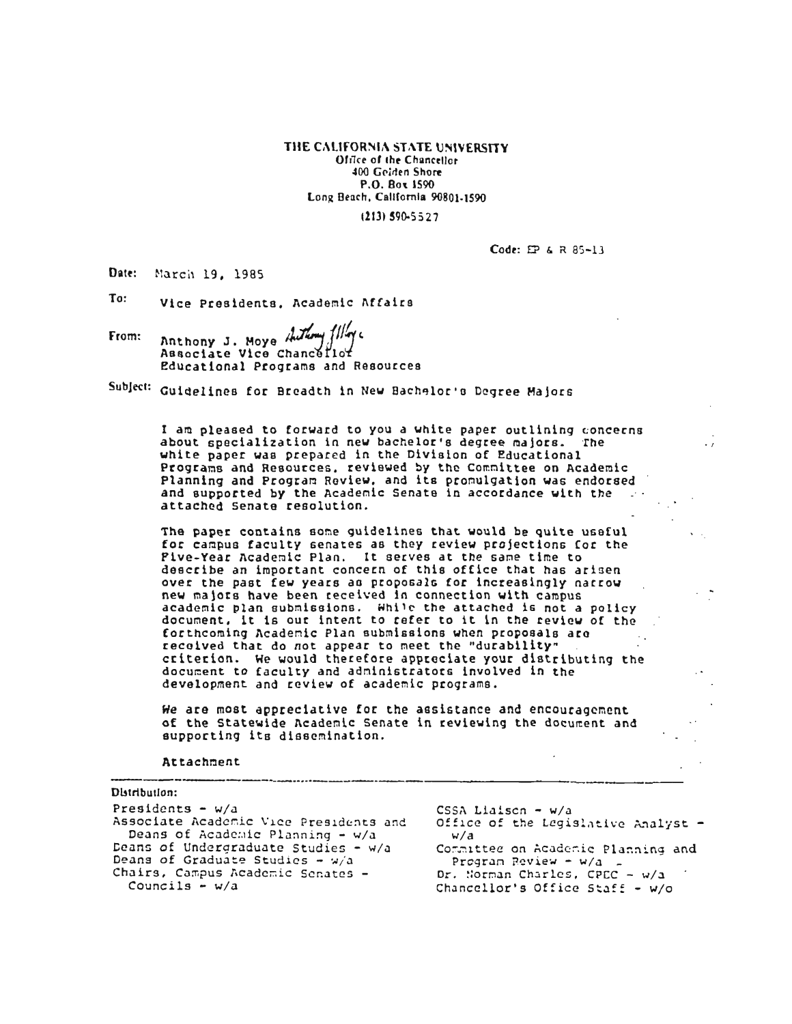THE CALIFORNIA STATE UNIVERSITY Office of the Chancellor 400 Golden Shore P.O. Box 1590 Long Beach, California 90801-1590

(213) 590-5527

Code: EP & R 85-13

Date: March 19, 1985

To: Vice Presidents, Academic Affairs

Anthony J. Moye Auth From: Associate Vice Chancellot Educational Programs and Resources

Subject: Guidelines for Breadth in New Bachelor's Degree Majors

I am pleased to forward to you a white paper outlining concerns about specialization in new bachelor's degree majors. The white paper was prepared in the Division of Educational Programs and Resources, reviewed by the Committee on Academic Planning and Program Review, and its promulgation was endorsed and supported by the Academic Senate in accordance with the attached Senate resolution.

The paper contains some guidelines that would be quite useful for campus faculty senates as they review projections for the Pive-Year Academic Plan. It serves at the same time to describe an important concern of this office that has arisen over the past few years as proposals for increasingly narrow new majors have been received in connection with campus academic plan submissions. While the attached is not a policy document, it is our intent to refer to it in the review of the forthcoming Academic Plan submissions when proposals are received that do not appear to meet the "durability" criterion. We would therefore appreciate your distributing the document to faculty and administrators involved in the development and review of academic programs.

We are most appreciative for the assistance and encouragement of the Statewide Academic Senate in reviewing the document and supporting its dissemination.

Attachment

Distribution: Presidents -  $w/a$ CSSA Liaiscn -  $w/a$ Office of the Legislative Analyst -Associate Academic Vice Presidents and Deans of Academic Planning - w/a  $w/a$ Deans of Undergraduate Studies - w/a Committee on Academic Planning and Deans of Graduate Studies -  $w/a$ - Program Review - w/a Chairs, Campus Academic Senates -Dr. Norman Charles, CPEC - w/a Councils -  $w/a$ Chancellor's Office Staff - w/o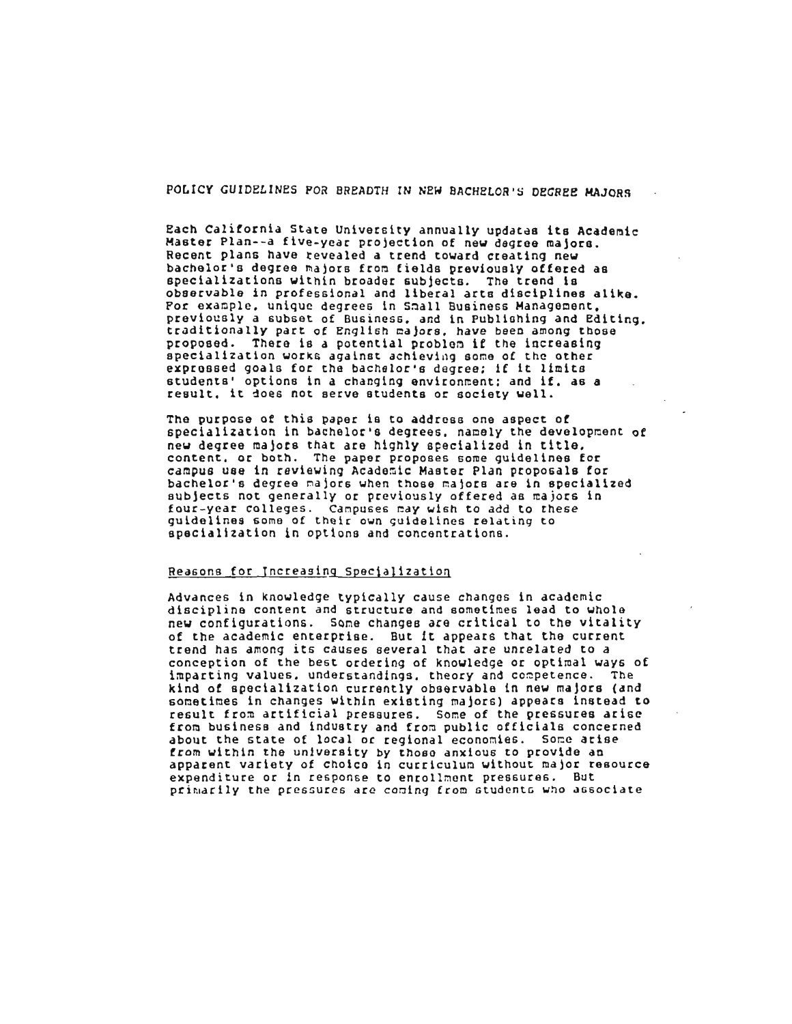POLICY GUIDELINES FOR BREADTH IN NEW BACHELOR'S DEGREE MAJORS

Each California State University annually updates its Academic Master Plan--a five-year projection of new degree majors. Recent plans have revealed a trend toward creating new bachelor's degree majors from fields previously offered as specializations within broader subjects. The trend is observable in professional and liberal arts disciplines alike. Por example, unique degrees in Small Business Management, previously a subset of Business, and in Publishing and Editing. traditionally part of English majors, have been among those proposed. There is a potential problem if the increasing specialization works against achieving some of the other expressed goals for the bachelor's degree; if it limits students' options in a changing environment; and if, as a result, it does not serve students or society well.

The purpose of this paper is to address one aspect of specialization in bachelor's degrees, namely the development of new degree majors that are highly specialized in title. content, or both. The paper proposes some guidelines for campus use in reviewing Academic Master Plan proposals for bachelor's degree majors when those majors are in specialized subjects not generally or previously offered as majors in four-year colleges. Campuses may wish to add to these guidelines some of their own guidelines relating to specialization in options and concentrations.

## Reasons for Increasing Specialization

Advances in knowledge typically cause changes in academic discipline content and structure and sometimes lead to whole new configurations. Some changes are critical to the vitality of the academic enterprise. But it appears that the current trend has among its causes several that are unrelated to a conception of the best ordering of knowledge or optimal ways of imparting values, understandings, theory and competence. The kind of apecialization currently observable in new majors (and sometimes in changes within existing majors) appears instead to result from artificial pressures. Some of the pressures arise from business and industry and from public officials concerned about the state of local or regional economies. Some arise from within the university by those anxious to provide an apparent variety of choice in curriculum without major resource expenditure or in response to enrollment pressures. But primarily the pressures are coming from students who associate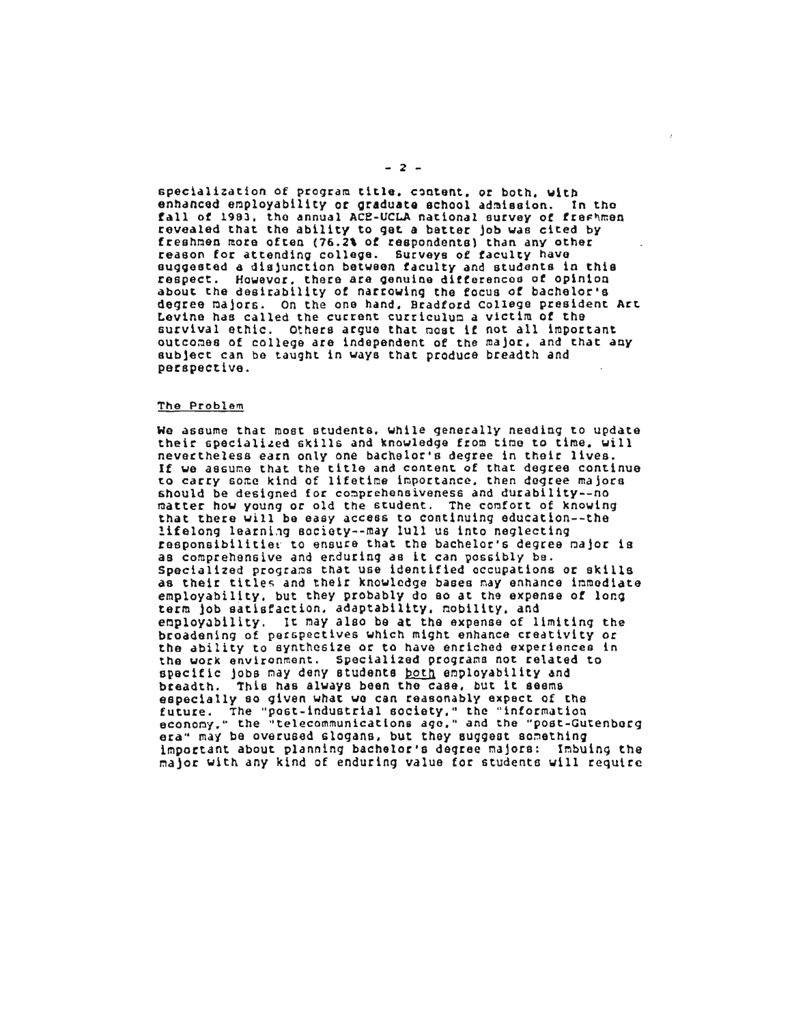specialization of program title, content, or both, with enhanced employability or graduate school admission. In the fall of 1983, the annual ACE-UCLA national survey of freshmen revealed that the ability to get a batter job was cited by freshmen more often (76.2% of respondents) than any other reason for attending college. Surveys of faculty have suggested a disjunction between faculty and students in this respect. However, there are genuine differences of opinion about the desirability of narrowing the focus of bachelor's degree majors. On the one hand, Bradford College president Art Levine has called the current curriculum a victim of the survival ethic. Others argue that most if not all important outcomes of college are independent of the major, and that any subject can be taught in ways that produce breadth and perspective.

#### The Problem

We assume that most students, while generally needing to update their specialized skills and knowledge from time to time, will nevertheless earn only one bachelor's degree in their lives. If we assume that the title and content of that degree continue to carry some kind of lifetime importance, then degree majors should be designed for comprehensiveness and durability--no matter how young or old the student. The comfort of knowing that there will be easy access to continuing education--the lifelong learning society--may lull us into neglecting responsibilities to ensure that the bachelor's degree major is as comprehensive and enduring as it can possibly be. Specialized programs that use identified occupations or skills as their titles and their knowledge bases may enhance immediate employability, but they probably do so at the expense of long term job satisfaction, adaptability, mobility, and employability. It may also be at the expense of limiting the broadening of perspectives which might enhance creativity or the ability to synthesize or to have enriched experiences in the work environment. Specialized programs not related to specific jobs may deny students both employability and breadth. This has always been the case, but it seems especially so given what we can reasonably expect of the future. The "post-industrial society," the "information economy," the "telecommunications ago," and the "post-Gutenberg era" may be overused slogans, but they suggest something important about planning bachelor's degree majors: Imbuing the major with any kind of enduring value for students will require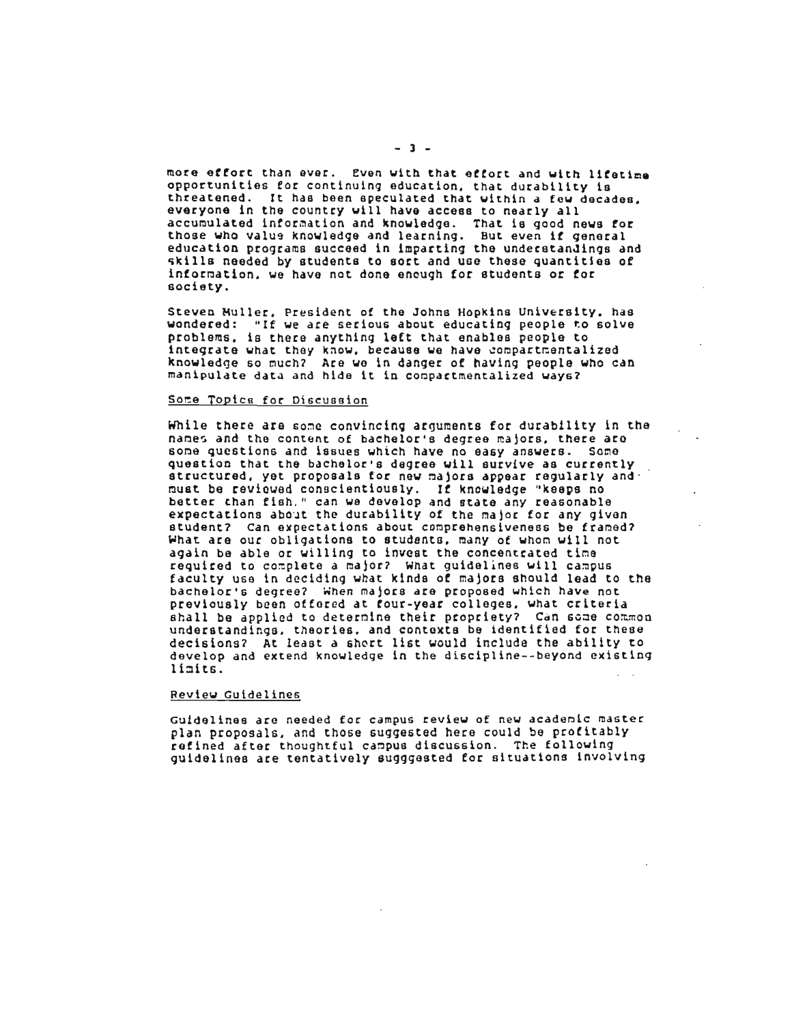more effort than ever. Even with that effort and with lifetime opportunities for continuing education, that durability is threatened. It has been speculated that within a few decades. everyone in the country will have access to nearly all accumulated information and knowledge. That is good news for those who value knowledge and learning. But even if general education programs succeed in imparting the understandings and skills needed by students to sort and use these quantities of information, we have not done encugh for students or for society.

Steven Muller, President of the Johns Hopkins University, has wondered: "If we are serious about educating people to solve problems, is there anything left that enables people to integrate what they know, because we have compartmentalized knowledge so much? Are we in danger of having people who can manipulate data and hide it in compartmentalized ways?

#### Some Topics for Discussion

While there are some convincing arguments for durability in the names and the content of bachelor's degree majors, there are some questions and issues which have no easy answers. Some question that the bachelor's degree will survive as currently structured, yet proposals for new majors appear regularly and must be reviewed conscientiously. If knowledge "keeps no better than fish, " can we develop and state any reasonable expectations about the durability of the major for any given student? Can expectations about comprehensiveness be framed? What are our obligations to students, many of whom will not again be able or willing to invest the concentrated time required to complete a major? What guidelines will campus faculty use in deciding what kinds of majors should lead to the bachelor's degree? When majors are proposed which have not previously been offered at four-year colleges, what criteria shall be applied to determine their propriety? Can some common understandings, theories, and contexts be identified for these decisions? At least a short list would include the ability to develop and extend knowledge in the discipline--beyond existing limits.

#### Review Guidelines

Guidelines are needed for campus review of new academic master plan proposals, and those suggested here could be profitably refined after thoughtful campus discussion. The following guidelines are tentatively sugggested for situations involving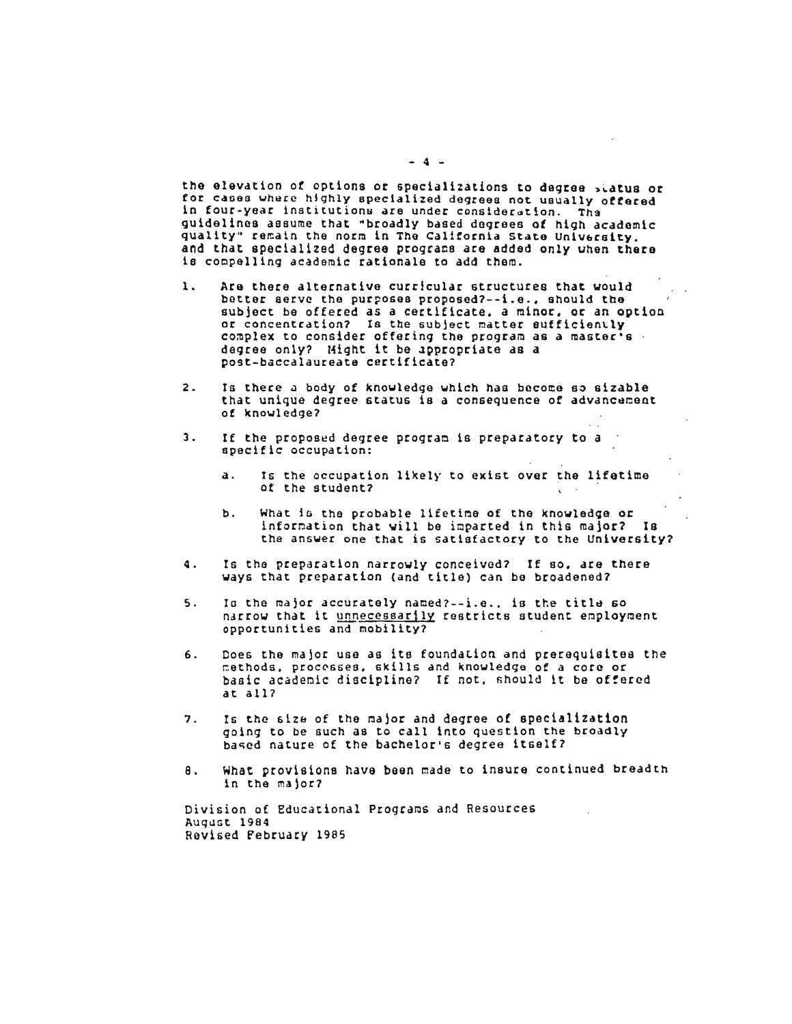the elevation *ot* options or specializations to degree >~atus or he elevation of options or specializations to degree status or<br>Of cases where highly specialized degrees not usually soften i for cases where highly specialized degrees not usually offered<br>in four-year institutions are under consideration. Tha n tour-year institutions are under consideration. The<br>widelings assume that "broadly based degrees of high academic uidelines assume that "broadly based degrees of high academic<br>wality" remain the norm in The California State University. quality" remain the norm in The California State University. and that specialized degree programs are added only when there is compelling academic rationale to add them.

- 1. Are there alternative curricular structures that would re there alternative curricular structures that would<br>Attor serve the purposes proposed?--i.e. –should the better serve the purposes proposed?--i.e., should the subject be offered as a certificate, a minor, or an option<br>or concentration? Is the subject matter sufficiently r concentration? Is the subject matter sufficiently<br>omplex to consider offering the program as a master's .<br>egree only? Hight it be ?ppropriate as a egree only? Hight it be appropr<br>pst-baccalaureate certificate?
- 2. Is there u body of kno~ledge which has bocome 8~ sizable s there a body of knowledge which has become so sizable<br>bat unique degree status is a consequence of advancement that unique degree status is a consequence of advancement<br>of knowledge?
- 3. If the propos~d degree proqrac is preparatory to a f the proposed degree<br>pecific eccupation:
	- a. Is the occupation likely to exist over the lifetime s the occupation<br>f the student?
	- b. What iG the probable lifetioe of the knowled~e or hat is the probable lifetime of the knowledge or<br>oformation that vill be imparted in this maior? Is information that will be imparted in this major? Is<br>the answer one that is satisfactory to the University?
- 4. Is the preparation narrowly conceived? If so. are there s the preparation narrowly conceived? If so, are the same of the present of the broadened?
- $\frac{1}{2}$ . The major accurately named?--i.e. is the title  $\epsilon_0$ s the major accurately named?--i.e., is the title so<br>estou that it unnecessarily restricts student employment narrow that it unnecessarily restricts student employment<br>opportunities and mobility?
- 6. Coes the malor use as ite founda~ion and prerequisites the oes the major use as its foundation and prerequisites<br>othods. processes. skills and knowledge of a core or methods, processes, skills and knowledge of a core or basic academic discipline? If not, should it be offered at all?
- 7. Is ehe stZ& of the najor and degree of specialization s the size of the major and degree of specialization<br>sing to be such as to call into question the broadly going to be such as to call into question the broadly<br>based nature of the bachelor's degree itself?
- 8. ~hat provisions have been made to insure continued breadth hat provisions<br>. the males?

Division of Educational Programs and Resources Auq~Gt 1984 Ravised Februarv 1995

 $-4 -$